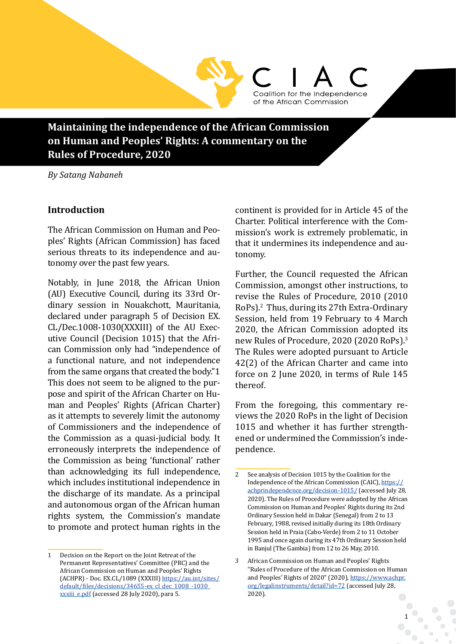**Maintaining the independence of the African Commission on Human and Peoples' Rights: A commentary on the Rules of Procedure, 2020**

*By Satang Nabaneh* 

### **Introduction**

The African Commission on Human and Peoples' Rights (African Commission) has faced serious threats to its independence and autonomy over the past few years.

Notably, in June 2018, the African Union (AU) Executive Council, during its 33rd Ordinary session in Nouakchott, Mauritania, declared under paragraph 5 of Decision EX. CL/Dec.1008-1030(XXXIII) of the AU Executive Council (Decision 1015) that the African Commission only had "independence of a functional nature, and not independence from the same organs that created the body."1 This does not seem to be aligned to the purpose and spirit of the African Charter on Human and Peoples' Rights (African Charter) as it attempts to severely limit the autonomy of Commissioners and the independence of the Commission as a quasi-judicial body. It erroneously interprets the independence of the Commission as being 'functional' rather than acknowledging its full independence, which includes institutional independence in the discharge of its mandate. As a principal and autonomous organ of the African human rights system, the Commission's mandate to promote and protect human rights in the

1 Decision on the Report on the Joint Retreat of the Permanent Representatives' Committee (PRC) and the African Commission on Human and Peoples' Rights (ACHPR) - Doc. EX.CL/1089 (XXXIII) https://au.int/sites/ default/files/decisions/34655-ex\_cl\_dec\_1008\_-1030\_ xxxiii\_e.pdf (accessed 28 July 2020), para 5.

continent is provided for in Article 45 of the Charter. Political interference with the Commission's work is extremely problematic, in that it undermines its independence and autonomy.

Coalition for the Independence of the African Commission

Further, the Council requested the African Commission, amongst other instructions, to revise the Rules of Procedure, 2010 (2010 RoPs).2 Thus, during its 27th Extra-Ordinary Session, held from 19 February to 4 March 2020, the African Commission adopted its new Rules of Procedure, 2020 (2020 RoPs).3 The Rules were adopted pursuant to Article 42(2) of the African Charter and came into force on 2 June 2020, in terms of Rule 145 thereof.

From the foregoing, this commentary reviews the 2020 RoPs in the light of Decision 1015 and whether it has further strengthened or undermined the Commission's independence.

<sup>2</sup> See analysis of Decision 1015 by the Coalition for the Independence of the African Commission (CAIC), https:// achprindependence.org/decision-1015/ (accessed July 28, 2020). The Rules of Procedure were adopted by the African Commission on Human and Peoples' Rights during its 2nd Ordinary Session held in Dakar (Senegal) from 2 to 13 February, 1988, revised initially during its 18th Ordinary Session held in Praia (Cabo-Verde) from 2 to 11 October 1995 and once again during its 47th Ordinary Session held in Banjul (The Gambia) from 12 to 26 May, 2010.

<sup>3</sup> African Commission on Human and Peoples' Rights "Rules of Procedure of the African Commission on Human and Peoples' Rights of 2020" (2020), https://www.achpr. org/legalinstruments/detail?id=72 (accessed July 28, 2020).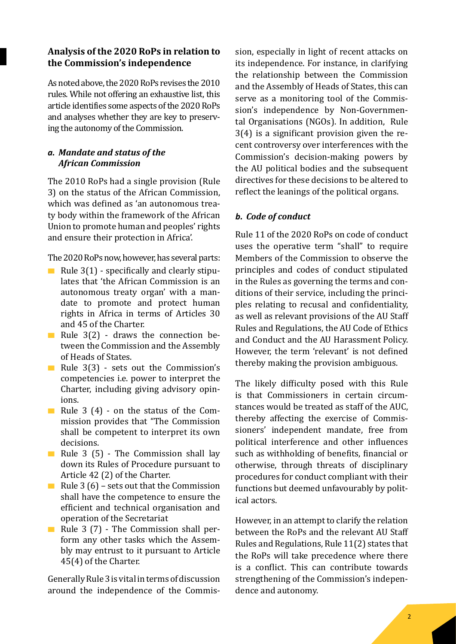# **Analysis of the 2020 RoPs in relation to the Commission's independence**

As noted above, the 2020 RoPs revises the 2010 rules. While not offering an exhaustive list, this article identifies some aspects of the 2020 RoPs and analyses whether they are key to preserving the autonomy of the Commission.

# *a. Mandate and status of the African Commission*

The 2010 RoPs had a single provision (Rule 3) on the status of the African Commission, which was defined as 'an autonomous treaty body within the framework of the African Union to promote human and peoples' rights and ensure their protection in Africa'.

The 2020 RoPs now, however, has several parts:

- Rule  $3(1)$  specifically and clearly stipulates that 'the African Commission is an autonomous treaty organ' with a mandate to promote and protect human rights in Africa in terms of Articles 30 and 45 of the Charter.
- Rule  $3(2)$  draws the connection between the Commission and the Assembly of Heads of States.
- Rule  $3(3)$  sets out the Commission's competencies i.e. power to interpret the Charter, including giving advisory opinions.
- Rule 3  $(4)$  on the status of the Commission provides that "The Commission shall be competent to interpret its own decisions.
- Rule 3 (5) The Commission shall lay down its Rules of Procedure pursuant to Article 42 (2) of the Charter.
- Rule 3 (6) sets out that the Commission shall have the competence to ensure the efficient and technical organisation and operation of the Secretariat
- Rule 3 (7) The Commission shall perform any other tasks which the Assembly may entrust to it pursuant to Article 45(4) of the Charter.

Generally Rule 3 is vital in terms of discussion around the independence of the Commission, especially in light of recent attacks on its independence. For instance, in clarifying the relationship between the Commission and the Assembly of Heads of States, this can serve as a monitoring tool of the Commission's independence by Non-Governmental Organisations (NGOs). In addition, Rule 3(4) is a significant provision given the recent controversy over interferences with the Commission's decision-making powers by the AU political bodies and the subsequent directives for these decisions to be altered to reflect the leanings of the political organs.

### *b. Code of conduct*

Rule 11 of the 2020 RoPs on code of conduct uses the operative term "shall" to require Members of the Commission to observe the principles and codes of conduct stipulated in the Rules as governing the terms and conditions of their service, including the principles relating to recusal and confidentiality, as well as relevant provisions of the AU Staff Rules and Regulations, the AU Code of Ethics and Conduct and the AU Harassment Policy. However, the term 'relevant' is not defined thereby making the provision ambiguous.

The likely difficulty posed with this Rule is that Commissioners in certain circumstances would be treated as staff of the AUC, thereby affecting the exercise of Commissioners' independent mandate, free from political interference and other influences such as withholding of benefits, financial or otherwise, through threats of disciplinary procedures for conduct compliant with their functions but deemed unfavourably by political actors.

However, in an attempt to clarify the relation between the RoPs and the relevant AU Staff Rules and Regulations, Rule 11(2) states that the RoPs will take precedence where there is a conflict. This can contribute towards strengthening of the Commission's independence and autonomy.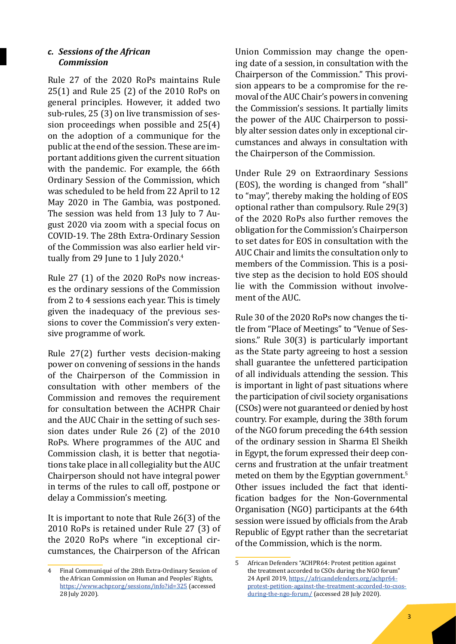#### *c. Sessions of the African Commission*

Rule 27 of the 2020 RoPs maintains Rule 25(1) and Rule 25 (2) of the 2010 RoPs on general principles. However, it added two sub-rules, 25 (3) on live transmission of session proceedings when possible and 25(4) on the adoption of a communique for the public at the end of the session. These are important additions given the current situation with the pandemic. For example, the 66th Ordinary Session of the Commission, which was scheduled to be held from 22 April to 12 May 2020 in The Gambia, was postponed. The session was held from 13 July to 7 August 2020 via zoom with a special focus on COVID-19. The 28th Extra-Ordinary Session of the Commission was also earlier held virtually from 29 June to 1 July 2020.<sup>4</sup>

Rule 27 (1) of the 2020 RoPs now increases the ordinary sessions of the Commission from 2 to 4 sessions each year. This is timely given the inadequacy of the previous sessions to cover the Commission's very extensive programme of work.

Rule 27(2) further vests decision-making power on convening of sessions in the hands of the Chairperson of the Commission in consultation with other members of the Commission and removes the requirement for consultation between the ACHPR Chair and the AUC Chair in the setting of such session dates under Rule 26 (2) of the 2010 RoPs. Where programmes of the AUC and Commission clash, it is better that negotiations take place in all collegiality but the AUC Chairperson should not have integral power in terms of the rules to call off, postpone or delay a Commission's meeting.

It is important to note that Rule 26(3) of the 2010 RoPs is retained under Rule 27 (3) of the 2020 RoPs where "in exceptional circumstances, the Chairperson of the African Union Commission may change the opening date of a session, in consultation with the Chairperson of the Commission." This provision appears to be a compromise for the removal of the AUC Chair's powers in convening the Commission's sessions. It partially limits the power of the AUC Chairperson to possibly alter session dates only in exceptional circumstances and always in consultation with the Chairperson of the Commission.

Under Rule 29 on Extraordinary Sessions (EOS), the wording is changed from "shall" to "may", thereby making the holding of EOS optional rather than compulsory. Rule 29(3) of the 2020 RoPs also further removes the obligation for the Commission's Chairperson to set dates for EOS in consultation with the AUC Chair and limits the consultation only to members of the Commission. This is a positive step as the decision to hold EOS should lie with the Commission without involvement of the AUC.

Rule 30 of the 2020 RoPs now changes the title from "Place of Meetings" to "Venue of Sessions." Rule 30(3) is particularly important as the State party agreeing to host a session shall guarantee the unfettered participation of all individuals attending the session. This is important in light of past situations where the participation of civil society organisations (CSOs) were not guaranteed or denied by host country. For example, during the 38th forum of the NGO forum preceding the 64th session of the ordinary session in Sharma El Sheikh in Egypt, the forum expressed their deep concerns and frustration at the unfair treatment meted on them by the Egyptian government.<sup>5</sup> Other issues included the fact that identification badges for the Non-Governmental Organisation (NGO) participants at the 64th session were issued by officials from the Arab Republic of Egypt rather than the secretariat of the Commission, which is the norm.

<sup>4</sup> Final Communiqué of the 28th Extra-Ordinary Session of the African Commission on Human and Peoples' Rights, https://www.achpr.org/sessions/info?id=325 (accessed 28 July 2020).

<sup>5</sup> African Defenders "ACHPR64: Protest petition against the treatment accorded to CSOs during the NGO forum" 24 April 2019, https://africandefenders.org/achpr64 protest-petition-against-the-treatment-accorded-to-csosduring-the-ngo-forum/ (accessed 28 July 2020).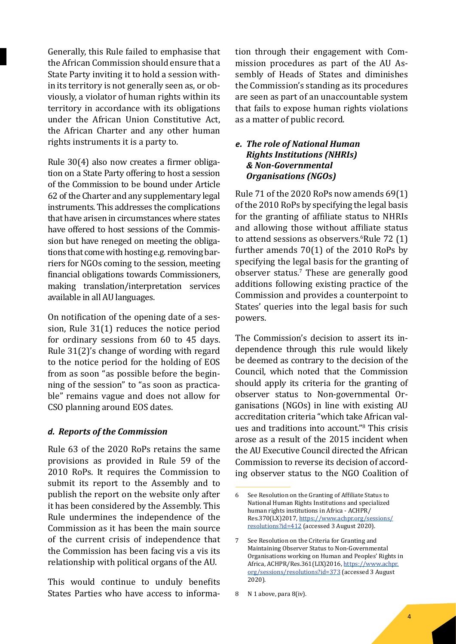Generally, this Rule failed to emphasise that the African Commission should ensure that a State Party inviting it to hold a session within its territory is not generally seen as, or obviously, a violator of human rights within its territory in accordance with its obligations under the African Union Constitutive Act, the African Charter and any other human rights instruments it is a party to.

Rule 30(4) also now creates a firmer obligation on a State Party offering to host a session of the Commission to be bound under Article 62 of the Charter and any supplementary legal instruments. This addresses the complications that have arisen in circumstances where states have offered to host sessions of the Commission but have reneged on meeting the obligations that come with hosting e.g. removing barriers for NGOs coming to the session, meeting financial obligations towards Commissioners, making translation/interpretation services available in all AU languages.

On notification of the opening date of a session, Rule 31(1) reduces the notice period for ordinary sessions from 60 to 45 days. Rule 31(2)'s change of wording with regard to the notice period for the holding of EOS from as soon "as possible before the beginning of the session" to "as soon as practicable" remains vague and does not allow for CSO planning around EOS dates.

#### *d. Reports of the Commission*

Rule 63 of the 2020 RoPs retains the same provisions as provided in Rule 59 of the 2010 RoPs. It requires the Commission to submit its report to the Assembly and to publish the report on the website only after it has been considered by the Assembly. This Rule undermines the independence of the Commission as it has been the main source of the current crisis of independence that the Commission has been facing vis a vis its relationship with political organs of the AU.

This would continue to unduly benefits States Parties who have access to information through their engagement with Commission procedures as part of the AU Assembly of Heads of States and diminishes the Commission's standing as its procedures are seen as part of an unaccountable system that fails to expose human rights violations as a matter of public record.

#### *e. The role of National Human Rights Institutions (NHRIs) & Non-Governmental Organisations (NGOs)*

Rule 71 of the 2020 RoPs now amends 69(1) of the 2010 RoPs by specifying the legal basis for the granting of affiliate status to NHRIs and allowing those without affiliate status to attend sessions as observers. <sup>6</sup>Rule 72 (1) further amends 70(1) of the 2010 RoPs by specifying the legal basis for the granting of observer status.<sup>7</sup> These are generally good additions following existing practice of the Commission and provides a counterpoint to States' queries into the legal basis for such powers.

The Commission's decision to assert its independence through this rule would likely be deemed as contrary to the decision of the Council, which noted that the Commission should apply its criteria for the granting of observer status to Non-governmental Organisations (NGOs) in line with existing AU accreditation criteria "which take African values and traditions into account."8 This crisis arose as a result of the 2015 incident when the AU Executive Council directed the African Commission to reverse its decision of according observer status to the NGO Coalition of

<sup>6</sup> See Resolution on the Granting of Affiliate Status to National Human Rights Institutions and specialized human rights institutions in Africa - ACHPR/ Res.370(LX)2017, https://www.achpr.org/sessions/ resolutions?id=412 (accessed 3 August 2020).

<sup>7</sup> See Resolution on the Criteria for Granting and Maintaining Observer Status to Non-Governmental Organisations working on Human and Peoples' Rights in Africa, ACHPR/Res.361(LIX)2016, https://www.achpr. org/sessions/resolutions?id=373 (accessed 3 August 2020).

<sup>8</sup> N 1 above, para 8(iv).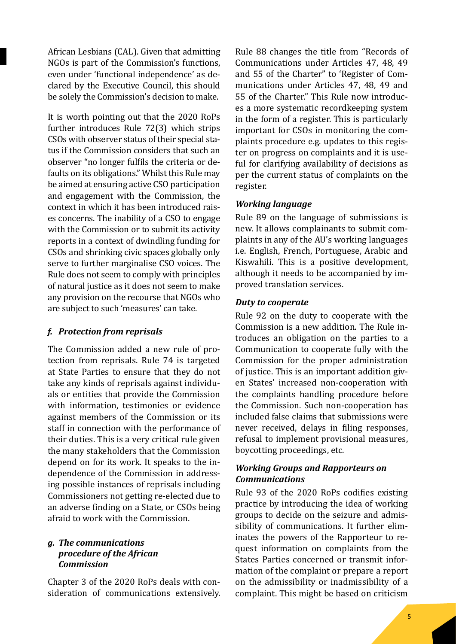African Lesbians (CAL). Given that admitting NGOs is part of the Commission's functions, even under 'functional independence' as declared by the Executive Council, this should be solely the Commission's decision to make.

It is worth pointing out that the 2020 RoPs further introduces Rule 72(3) which strips CSOs with observer status of their special status if the Commission considers that such an observer "no longer fulfils the criteria or defaults on its obligations." Whilst this Rule may be aimed at ensuring active CSO participation and engagement with the Commission, the context in which it has been introduced raises concerns. The inability of a CSO to engage with the Commission or to submit its activity reports in a context of dwindling funding for CSOs and shrinking civic spaces globally only serve to further marginalise CSO voices. The Rule does not seem to comply with principles of natural justice as it does not seem to make any provision on the recourse that NGOs who are subject to such 'measures' can take.

# *f. Protection from reprisals*

The Commission added a new rule of protection from reprisals. Rule 74 is targeted at State Parties to ensure that they do not take any kinds of reprisals against individuals or entities that provide the Commission with information, testimonies or evidence against members of the Commission or its staff in connection with the performance of their duties. This is a very critical rule given the many stakeholders that the Commission depend on for its work. It speaks to the independence of the Commission in addressing possible instances of reprisals including Commissioners not getting re-elected due to an adverse finding on a State, or CSOs being afraid to work with the Commission.

### *g. The communications procedure of the African Commission*

Chapter 3 of the 2020 RoPs deals with consideration of communications extensively. Rule 88 changes the title from "Records of Communications under Articles 47, 48, 49 and 55 of the Charter" to 'Register of Communications under Articles 47, 48, 49 and 55 of the Charter." This Rule now introduces a more systematic recordkeeping system in the form of a register. This is particularly important for CSOs in monitoring the complaints procedure e.g. updates to this register on progress on complaints and it is useful for clarifying availability of decisions as per the current status of complaints on the register.

# *Working language*

Rule 89 on the language of submissions is new. It allows complainants to submit complaints in any of the AU's working languages i.e. English, French, Portuguese, Arabic and Kiswahili. This is a positive development, although it needs to be accompanied by improved translation services.

# *Duty to cooperate*

Rule 92 on the duty to cooperate with the Commission is a new addition. The Rule introduces an obligation on the parties to a Communication to cooperate fully with the Commission for the proper administration of justice. This is an important addition given States' increased non-cooperation with the complaints handling procedure before the Commission. Such non-cooperation has included false claims that submissions were never received, delays in filing responses, refusal to implement provisional measures, boycotting proceedings, etc.

# *Working Groups and Rapporteurs on Communications*

Rule 93 of the 2020 RoPs codifies existing practice by introducing the idea of working groups to decide on the seizure and admissibility of communications. It further eliminates the powers of the Rapporteur to request information on complaints from the States Parties concerned or transmit information of the complaint or prepare a report on the admissibility or inadmissibility of a complaint. This might be based on criticism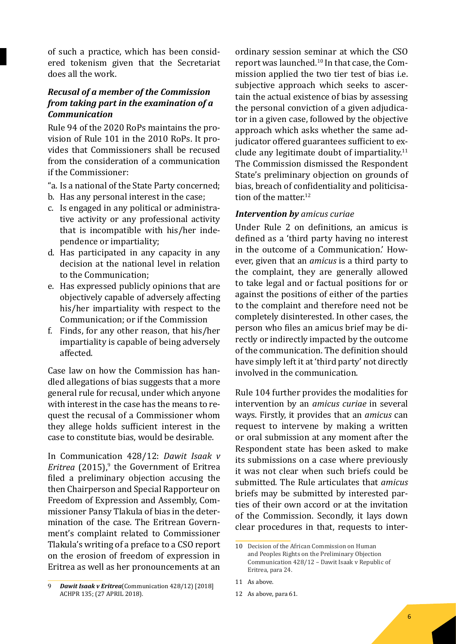of such a practice, which has been considered tokenism given that the Secretariat does all the work.

# *Recusal of a member of the Commission from taking part in the examination of a Communication*

Rule 94 of the 2020 RoPs maintains the provision of Rule 101 in the 2010 RoPs. It provides that Commissioners shall be recused from the consideration of a communication if the Commissioner:

- "a. Is a national of the State Party concerned;
- b. Has any personal interest in the case;
- c. Is engaged in any political or administrative activity or any professional activity that is incompatible with his/her independence or impartiality;
- d. Has participated in any capacity in any decision at the national level in relation to the Communication;
- e. Has expressed publicly opinions that are objectively capable of adversely affecting his/her impartiality with respect to the Communication; or if the Commission
- f. Finds, for any other reason, that his/her impartiality is capable of being adversely affected.

Case law on how the Commission has handled allegations of bias suggests that a more general rule for recusal, under which anyone with interest in the case has the means to request the recusal of a Commissioner whom they allege holds sufficient interest in the case to constitute bias, would be desirable.

In Communication 428/12: *Dawit Isaak v Eritrea* (2015),<sup>9</sup> the Government of Eritrea filed a preliminary objection accusing the then Chairperson and Special Rapporteur on Freedom of Expression and Assembly, Commissioner Pansy Tlakula of bias in the determination of the case. The Eritrean Government's complaint related to Commissioner Tlakula's writing of a preface to a CSO report on the erosion of freedom of expression in Eritrea as well as her pronouncements at an

9 *Dawit Isaak v Eritrea*(Communication 428/12) [2018] ACHPR 135; (27 APRIL 2018).

ordinary session seminar at which the CSO report was launched.10 In that case, the Commission applied the two tier test of bias i.e. subjective approach which seeks to ascertain the actual existence of bias by assessing the personal conviction of a given adjudicator in a given case, followed by the objective approach which asks whether the same adjudicator offered guarantees sufficient to exclude any legitimate doubt of impartiality. $11$ The Commission dismissed the Respondent State's preliminary objection on grounds of bias, breach of confidentiality and politicisation of the matter.<sup>12</sup>

#### *Intervention by amicus curiae*

Under Rule 2 on definitions, an amicus is defined as a 'third party having no interest in the outcome of a Communication.' However, given that an *amicus* is a third party to the complaint, they are generally allowed to take legal and or factual positions for or against the positions of either of the parties to the complaint and therefore need not be completely disinterested. In other cases, the person who files an amicus brief may be directly or indirectly impacted by the outcome of the communication. The definition should have simply left it at 'third party' not directly involved in the communication.

Rule 104 further provides the modalities for intervention by an *amicus curiae* in several ways. Firstly, it provides that an *amicus* can request to intervene by making a written or oral submission at any moment after the Respondent state has been asked to make its submissions on a case where previously it was not clear when such briefs could be submitted. The Rule articulates that *amicus*  briefs may be submitted by interested parties of their own accord or at the invitation of the Commission. Secondly, it lays down clear procedures in that, requests to inter-

<sup>10</sup> Decision of the African Commission on Human and Peoples Rights on the Preliminary Objection Communication 428/12 – Dawit Isaak v Republic of Eritrea, para 24.

<sup>11</sup> As above.

<sup>12</sup> As above, para 61.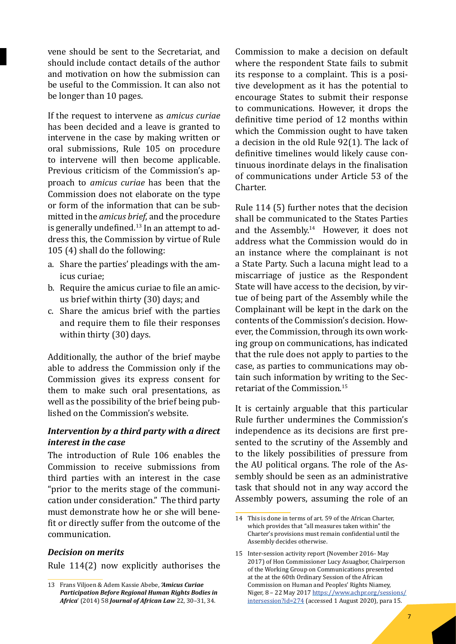vene should be sent to the Secretariat, and should include contact details of the author and motivation on how the submission can be useful to the Commission. It can also not be longer than 10 pages.

If the request to intervene as *amicus curiae*  has been decided and a leave is granted to intervene in the case by making written or oral submissions, Rule 105 on procedure to intervene will then become applicable. Previous criticism of the Commission's approach to *amicus curiae* has been that the Commission does not elaborate on the type or form of the information that can be submitted in the *amicus brief*, and the procedure is generally undefined.13 In an attempt to address this, the Commission by virtue of Rule 105 (4) shall do the following:

- a. Share the parties' pleadings with the amicus curiae;
- b. Require the amicus curiae to file an amicus brief within thirty (30) days; and
- c. Share the amicus brief with the parties and require them to file their responses within thirty (30) days.

Additionally, the author of the brief maybe able to address the Commission only if the Commission gives its express consent for them to make such oral presentations, as well as the possibility of the brief being published on the Commission's website.

### *Intervention by a third party with a direct interest in the case*

The introduction of Rule 106 enables the Commission to receive submissions from third parties with an interest in the case "prior to the merits stage of the communication under consideration." The third party must demonstrate how he or she will benefit or directly suffer from the outcome of the communication.

#### *Decision on merits*

Rule 114(2) now explicitly authorises the

Commission to make a decision on default where the respondent State fails to submit its response to a complaint. This is a positive development as it has the potential to encourage States to submit their response to communications. However, it drops the definitive time period of 12 months within which the Commission ought to have taken a decision in the old Rule 92(1). The lack of definitive timelines would likely cause continuous inordinate delays in the finalisation of communications under Article 53 of the Charter.

Rule 114 (5) further notes that the decision shall be communicated to the States Parties and the Assembly.<sup>14</sup> However, it does not address what the Commission would do in an instance where the complainant is not a State Party. Such a lacuna might lead to a miscarriage of justice as the Respondent State will have access to the decision, by virtue of being part of the Assembly while the Complainant will be kept in the dark on the contents of the Commission's decision. However, the Commission, through its own working group on communications, has indicated that the rule does not apply to parties to the case, as parties to communications may obtain such information by writing to the Secretariat of the Commission.15

It is certainly arguable that this particular Rule further undermines the Commission's independence as its decisions are first presented to the scrutiny of the Assembly and to the likely possibilities of pressure from the AU political organs. The role of the Assembly should be seen as an administrative task that should not in any way accord the Assembly powers, assuming the role of an

<sup>13</sup> Frans Viljoen & Adem Kassie Abebe, *'Amicus Curiae Participation Before Regional Human Rights Bodies in Africa*' (2014) 58 *Journal of African Law* 22, 30–31, 34.

<sup>14</sup> This is done in terms of art. 59 of the African Charter, which provides that "all measures taken within" the Charter's provisions must remain confidential until the Assembly decides otherwise.

<sup>15</sup> Inter-session activity report (November 2016- May 2017) of Hon Commissioner Lucy Asuagbor, Chairperson of the Working Group on Communications presented at the at the 60th Ordinary Session of the African Commission on Human and Peoples' Rights Niamey, Niger, 8 – 22 May 2017 https://www.achpr.org/sessions/ intersession?id=274 (accessed 1 August 2020), para 15.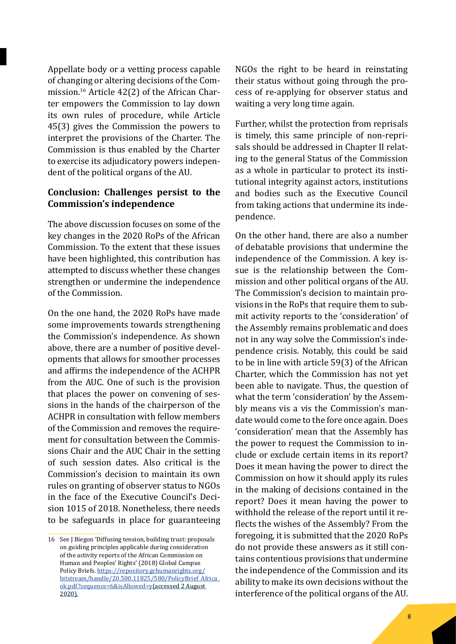Appellate body or a vetting process capable of changing or altering decisions of the Commission.16 Article 42(2) of the African Charter empowers the Commission to lay down its own rules of procedure, while Article 45(3) gives the Commission the powers to interpret the provisions of the Charter. The Commission is thus enabled by the Charter to exercise its adjudicatory powers independent of the political organs of the AU.

# **Conclusion: Challenges persist to the Commission's independence**

The above discussion focuses on some of the key changes in the 2020 RoPs of the African Commission. To the extent that these issues have been highlighted, this contribution has attempted to discuss whether these changes strengthen or undermine the independence of the Commission.

On the one hand, the 2020 RoPs have made some improvements towards strengthening the Commission's independence. As shown above, there are a number of positive developments that allows for smoother processes and affirms the independence of the ACHPR from the AUC. One of such is the provision that places the power on convening of sessions in the hands of the chairperson of the ACHPR in consultation with fellow members of the Commission and removes the requirement for consultation between the Commissions Chair and the AUC Chair in the setting of such session dates. Also critical is the Commission's decision to maintain its own rules on granting of observer status to NGOs in the face of the Executive Council's Decision 1015 of 2018. Nonetheless, there needs to be safeguards in place for guaranteeing NGOs the right to be heard in reinstating their status without going through the process of re-applying for observer status and waiting a very long time again.

Further, whilst the protection from reprisals is timely, this same principle of non-reprisals should be addressed in Chapter II relating to the general Status of the Commission as a whole in particular to protect its institutional integrity against actors, institutions and bodies such as the Executive Council from taking actions that undermine its independence.

On the other hand, there are also a number of debatable provisions that undermine the independence of the Commission. A key issue is the relationship between the Commission and other political organs of the AU. The Commission's decision to maintain provisions in the RoPs that require them to submit activity reports to the 'consideration' of the Assembly remains problematic and does not in any way solve the Commission's independence crisis. Notably, this could be said to be in line with article 59(3) of the African Charter, which the Commission has not yet been able to navigate. Thus, the question of what the term 'consideration' by the Assembly means vis a vis the Commission's mandate would come to the fore once again. Does 'consideration' mean that the Assembly has the power to request the Commission to include or exclude certain items in its report? Does it mean having the power to direct the Commission on how it should apply its rules in the making of decisions contained in the report? Does it mean having the power to withhold the release of the report until it reflects the wishes of the Assembly? From the foregoing, it is submitted that the 2020 RoPs do not provide these answers as it still contains contentious provisions that undermine the independence of the Commission and its ability to make its own decisions without the interference of the political organs of the AU.

<sup>16</sup> See J Biegon 'Diffusing tension, building trust: proposals on guiding principles applicable during consideration of the activity reports of the African Commission on Human and Peoples' Rights' (2018) Global Campus Policy Briefs. https://repository.gchumanrights.org/ bitstream/handle/20.500.11825/580/PolicyBrief\_Africa\_ ok.pdf?sequence=6&isAllowed=y(accessed 2 August 2020).